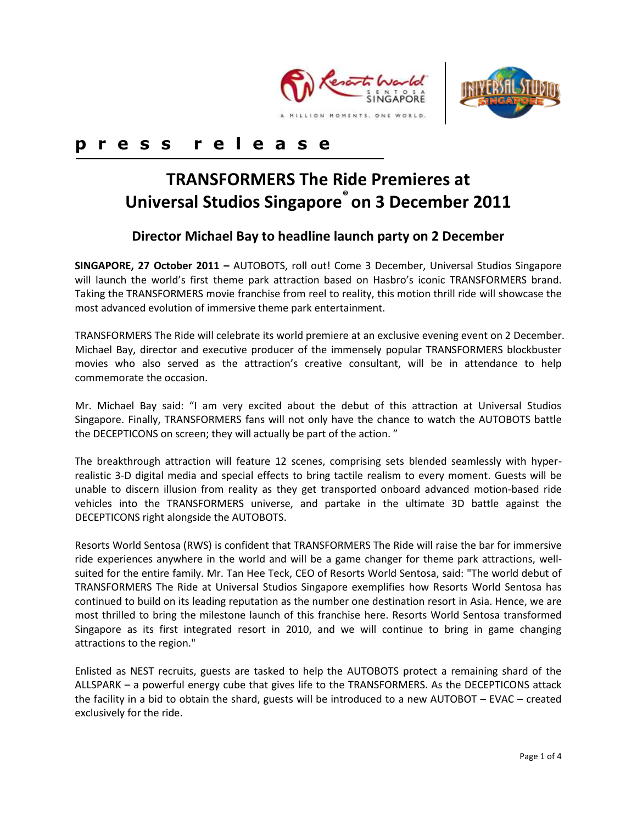



# **p r e s s r e l e a s e**

# **TRANSFORMERS The Ride Premieres at Universal Studios Singapore® on 3 December 2011**

## **Director Michael Bay to headline launch party on 2 December**

**SINGAPORE, 27 October 2011 –** AUTOBOTS, roll out! Come 3 December, Universal Studios Singapore will launch the world's first theme park attraction based on Hasbro's iconic TRANSFORMERS brand. Taking the TRANSFORMERS movie franchise from reel to reality, this motion thrill ride will showcase the most advanced evolution of immersive theme park entertainment.

TRANSFORMERS The Ride will celebrate its world premiere at an exclusive evening event on 2 December. Michael Bay, director and executive producer of the immensely popular TRANSFORMERS blockbuster movies who also served as the attraction's creative consultant, will be in attendance to help commemorate the occasion.

Mr. Michael Bay said: "I am very excited about the debut of this attraction at Universal Studios Singapore. Finally, TRANSFORMERS fans will not only have the chance to watch the AUTOBOTS battle the DECEPTICONS on screen; they will actually be part of the action. "

The breakthrough attraction will feature 12 scenes, comprising sets blended seamlessly with hyperrealistic 3-D digital media and special effects to bring tactile realism to every moment. Guests will be unable to discern illusion from reality as they get transported onboard advanced motion-based ride vehicles into the TRANSFORMERS universe, and partake in the ultimate 3D battle against the DECEPTICONS right alongside the AUTOBOTS.

Resorts World Sentosa (RWS) is confident that TRANSFORMERS The Ride will raise the bar for immersive ride experiences anywhere in the world and will be a game changer for theme park attractions, wellsuited for the entire family. Mr. Tan Hee Teck, CEO of Resorts World Sentosa, said: "The world debut of TRANSFORMERS The Ride at Universal Studios Singapore exemplifies how Resorts World Sentosa has continued to build on its leading reputation as the number one destination resort in Asia. Hence, we are most thrilled to bring the milestone launch of this franchise here. Resorts World Sentosa transformed Singapore as its first integrated resort in 2010, and we will continue to bring in game changing attractions to the region."

Enlisted as NEST recruits, guests are tasked to help the AUTOBOTS protect a remaining shard of the ALLSPARK – a powerful energy cube that gives life to the TRANSFORMERS. As the DECEPTICONS attack the facility in a bid to obtain the shard, guests will be introduced to a new AUTOBOT – EVAC – created exclusively for the ride.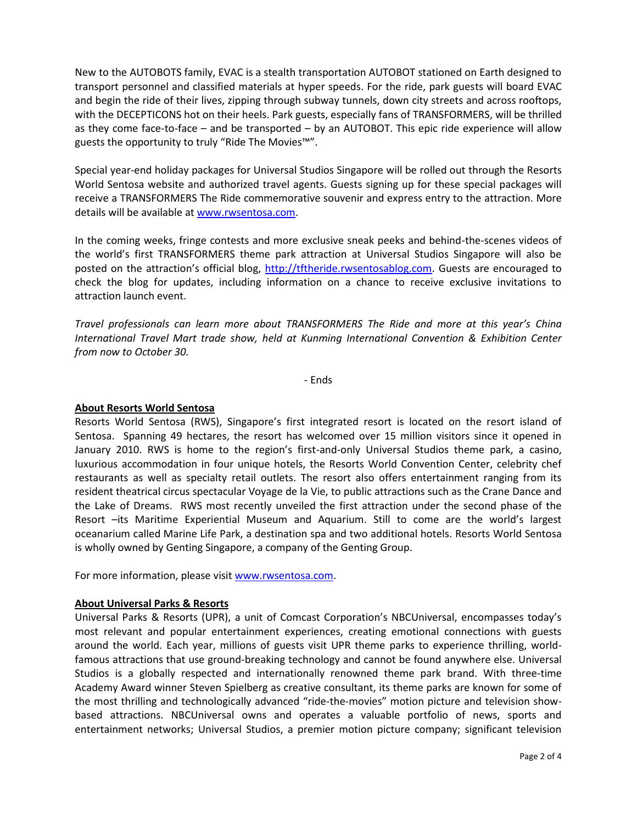New to the AUTOBOTS family, EVAC is a stealth transportation AUTOBOT stationed on Earth designed to transport personnel and classified materials at hyper speeds. For the ride, park guests will board EVAC and begin the ride of their lives, zipping through subway tunnels, down city streets and across rooftops, with the DECEPTICONS hot on their heels. Park guests, especially fans of TRANSFORMERS, will be thrilled as they come face-to-face – and be transported – by an AUTOBOT. This epic ride experience will allow guests the opportunity to truly "Ride The Movies™".

Special year-end holiday packages for Universal Studios Singapore will be rolled out through the Resorts World Sentosa website and authorized travel agents. Guests signing up for these special packages will receive a TRANSFORMERS The Ride commemorative souvenir and express entry to the attraction. More details will be available at [www.rwsentosa.com.](http://www.rwsentosa.com/)

In the coming weeks, fringe contests and more exclusive sneak peeks and behind-the-scenes videos of the world's first TRANSFORMERS theme park attraction at Universal Studios Singapore will also be posted on the attraction's official blog, [http://tftheride.rwsentosablog.com.](http://tftheride.rwsentosablog.com/) Guests are encouraged to check the blog for updates, including information on a chance to receive exclusive invitations to attraction launch event.

*Travel professionals can learn more about TRANSFORMERS The Ride and more at this year's China International Travel Mart trade show, held at Kunming International Convention & Exhibition Center from now to October 30.*

- Ends

## **About Resorts World Sentosa**

Resorts World Sentosa (RWS), Singapore's first integrated resort is located on the resort island of Sentosa. Spanning 49 hectares, the resort has welcomed over 15 million visitors since it opened in January 2010. RWS is home to the region's first-and-only Universal Studios theme park, a casino, luxurious accommodation in four unique hotels, the Resorts World Convention Center, celebrity chef restaurants as well as specialty retail outlets. The resort also offers entertainment ranging from its resident theatrical circus spectacular Voyage de la Vie, to public attractions such as the Crane Dance and the Lake of Dreams. RWS most recently unveiled the first attraction under the second phase of the Resort –its Maritime Experiential Museum and Aquarium. Still to come are the world's largest oceanarium called Marine Life Park, a destination spa and two additional hotels. Resorts World Sentosa is wholly owned by Genting Singapore, a company of the Genting Group.

For more information, please visi[t www.rwsentosa.com.](http://www.rwsentosa.com/)

## **About Universal Parks & Resorts**

Universal Parks & Resorts (UPR), a unit of Comcast Corporation's NBCUniversal, encompasses today's most relevant and popular entertainment experiences, creating emotional connections with guests around the world. Each year, millions of guests visit UPR theme parks to experience thrilling, worldfamous attractions that use ground-breaking technology and cannot be found anywhere else. Universal Studios is a globally respected and internationally renowned theme park brand. With three-time Academy Award winner Steven Spielberg as creative consultant, its theme parks are known for some of the most thrilling and technologically advanced "ride-the-movies" motion picture and television showbased attractions. NBCUniversal owns and operates a valuable portfolio of news, sports and entertainment networks; Universal Studios, a premier motion picture company; significant television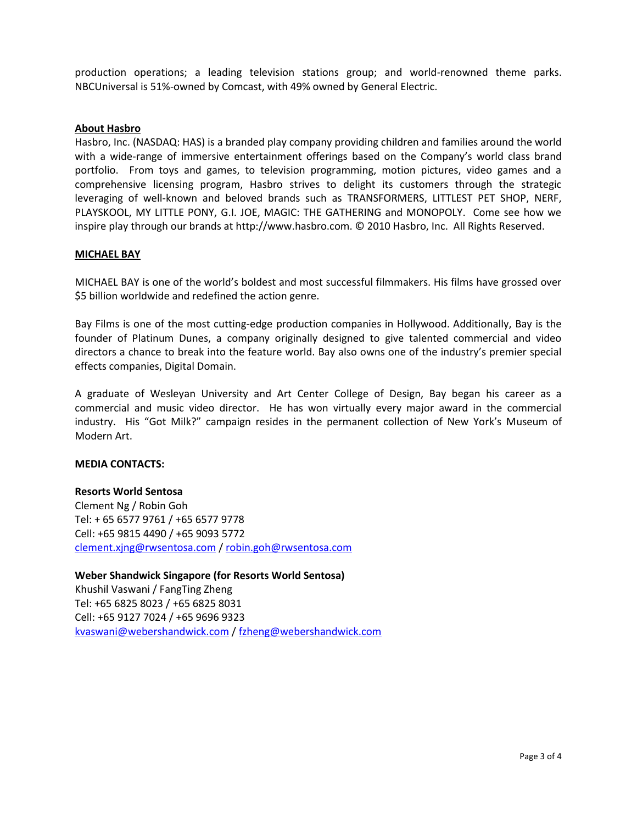production operations; a leading television stations group; and world-renowned theme parks. NBCUniversal is 51%-owned by Comcast, with 49% owned by General Electric.

#### **About Hasbro**

Hasbro, Inc. (NASDAQ: HAS) is a branded play company providing children and families around the world with a wide-range of immersive entertainment offerings based on the Company's world class brand portfolio. From toys and games, to television programming, motion pictures, video games and a comprehensive licensing program, Hasbro strives to delight its customers through the strategic leveraging of well-known and beloved brands such as TRANSFORMERS, LITTLEST PET SHOP, NERF, PLAYSKOOL, MY LITTLE PONY, G.I. JOE, MAGIC: THE GATHERING and MONOPOLY. Come see how we inspire play through our brands at http://www.hasbro.com. © 2010 Hasbro, Inc. All Rights Reserved.

#### **MICHAEL BAY**

MICHAEL BAY is one of the world's boldest and most successful filmmakers. His films have grossed over \$5 billion worldwide and redefined the action genre.

Bay Films is one of the most cutting-edge production companies in Hollywood. Additionally, Bay is the founder of Platinum Dunes, a company originally designed to give talented commercial and video directors a chance to break into the feature world. Bay also owns one of the industry's premier special effects companies, Digital Domain.

A graduate of Wesleyan University and Art Center College of Design, Bay began his career as a commercial and music video director. He has won virtually every major award in the commercial industry. His "Got Milk?" campaign resides in the permanent collection of New York's Museum of Modern Art.

#### **MEDIA CONTACTS:**

#### **Resorts World Sentosa**

Clement Ng / Robin Goh Tel: + 65 6577 9761 / +65 6577 9778 Cell: +65 9815 4490 / +65 9093 5772 [clement.xjng@rwsentosa.com](mailto:clement.xjng@rwsentosa.com) / [robin.goh@rwsentosa.com](mailto:robin.goh@rwsentosa.com)

**Weber Shandwick Singapore (for Resorts World Sentosa)**  Khushil Vaswani / FangTing Zheng Tel: +65 6825 8023 / +65 6825 8031 Cell: +65 9127 7024 / +65 9696 9323 [kvaswani@webershandwick.com](mailto:kvaswani@webershandwick.com) [/ fzheng@webershandwick.com](mailto:fzheng@webershandwick.com)